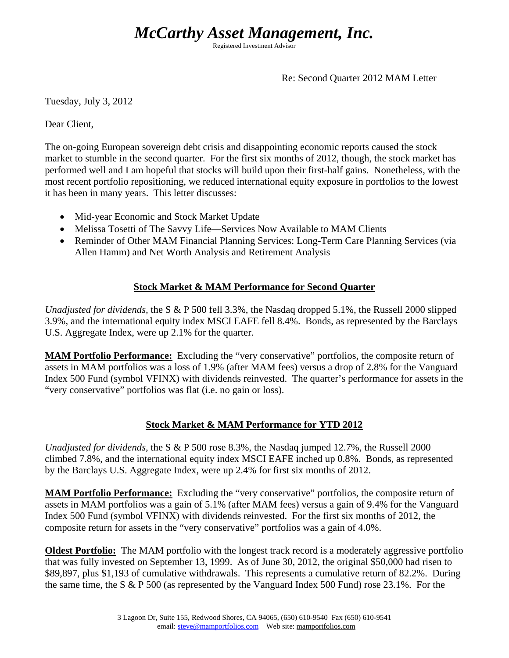# *McCarthy Asset Management, Inc.*

Registered Investment Advisor

Re: Second Quarter 2012 MAM Letter

Tuesday, July 3, 2012

Dear Client,

The on-going European sovereign debt crisis and disappointing economic reports caused the stock market to stumble in the second quarter. For the first six months of 2012, though, the stock market has performed well and I am hopeful that stocks will build upon their first-half gains. Nonetheless, with the most recent portfolio repositioning, we reduced international equity exposure in portfolios to the lowest it has been in many years. This letter discusses:

- Mid-year Economic and Stock Market Update
- Melissa Tosetti of The Savvy Life—Services Now Available to MAM Clients
- Reminder of Other MAM Financial Planning Services: Long-Term Care Planning Services (via Allen Hamm) and Net Worth Analysis and Retirement Analysis

#### **Stock Market & MAM Performance for Second Quarter**

*Unadjusted for dividends,* the S & P 500 fell 3.3%, the Nasdaq dropped 5.1%, the Russell 2000 slipped 3.9%, and the international equity index MSCI EAFE fell 8.4%. Bonds, as represented by the Barclays U.S. Aggregate Index, were up 2.1% for the quarter.

**MAM Portfolio Performance:** Excluding the "very conservative" portfolios, the composite return of assets in MAM portfolios was a loss of 1.9% (after MAM fees) versus a drop of 2.8% for the Vanguard Index 500 Fund (symbol VFINX) with dividends reinvested. The quarter's performance for assets in the "very conservative" portfolios was flat (i.e. no gain or loss).

#### **Stock Market & MAM Performance for YTD 2012**

*Unadjusted for dividends,* the S & P 500 rose 8.3%, the Nasdaq jumped 12.7%, the Russell 2000 climbed 7.8%, and the international equity index MSCI EAFE inched up 0.8%. Bonds, as represented by the Barclays U.S. Aggregate Index, were up 2.4% for first six months of 2012.

**MAM Portfolio Performance:** Excluding the "very conservative" portfolios, the composite return of assets in MAM portfolios was a gain of 5.1% (after MAM fees) versus a gain of 9.4% for the Vanguard Index 500 Fund (symbol VFINX) with dividends reinvested. For the first six months of 2012, the composite return for assets in the "very conservative" portfolios was a gain of 4.0%.

**Oldest Portfolio:** The MAM portfolio with the longest track record is a moderately aggressive portfolio that was fully invested on September 13, 1999. As of June 30, 2012, the original \$50,000 had risen to \$89,897, plus \$1,193 of cumulative withdrawals. This represents a cumulative return of 82.2%. During the same time, the S & P 500 (as represented by the Vanguard Index 500 Fund) rose 23.1%. For the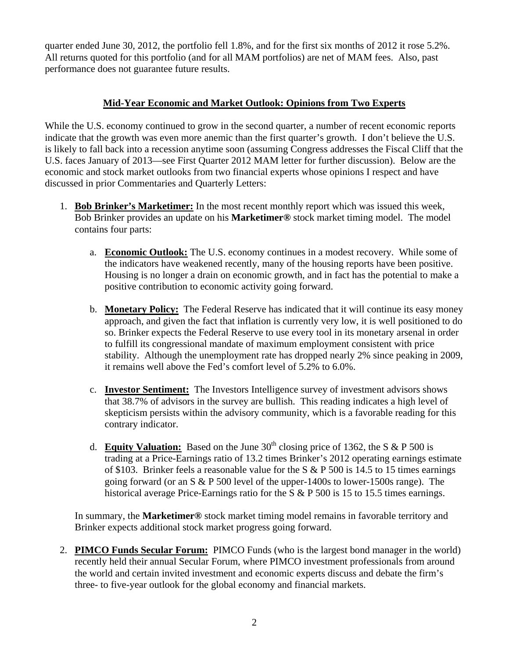quarter ended June 30, 2012, the portfolio fell 1.8%, and for the first six months of 2012 it rose 5.2%. All returns quoted for this portfolio (and for all MAM portfolios) are net of MAM fees. Also, past performance does not guarantee future results.

### **Mid-Year Economic and Market Outlook: Opinions from Two Experts**

While the U.S. economy continued to grow in the second quarter, a number of recent economic reports indicate that the growth was even more anemic than the first quarter's growth. I don't believe the U.S. is likely to fall back into a recession anytime soon (assuming Congress addresses the Fiscal Cliff that the U.S. faces January of 2013—see First Quarter 2012 MAM letter for further discussion). Below are the economic and stock market outlooks from two financial experts whose opinions I respect and have discussed in prior Commentaries and Quarterly Letters:

- 1. **Bob Brinker's Marketimer:** In the most recent monthly report which was issued this week, Bob Brinker provides an update on his **Marketimer®** stock market timing model. The model contains four parts:
	- a. **Economic Outlook:** The U.S. economy continues in a modest recovery. While some of the indicators have weakened recently, many of the housing reports have been positive. Housing is no longer a drain on economic growth, and in fact has the potential to make a positive contribution to economic activity going forward.
	- b. **Monetary Policy:** The Federal Reserve has indicated that it will continue its easy money approach, and given the fact that inflation is currently very low, it is well positioned to do so. Brinker expects the Federal Reserve to use every tool in its monetary arsenal in order to fulfill its congressional mandate of maximum employment consistent with price stability. Although the unemployment rate has dropped nearly 2% since peaking in 2009, it remains well above the Fed's comfort level of 5.2% to 6.0%.
	- c. **Investor Sentiment:** The Investors Intelligence survey of investment advisors shows that 38.7% of advisors in the survey are bullish. This reading indicates a high level of skepticism persists within the advisory community, which is a favorable reading for this contrary indicator.
	- d. **Equity Valuation:** Based on the June  $30<sup>th</sup>$  closing price of 1362, the S & P 500 is trading at a Price-Earnings ratio of 13.2 times Brinker's 2012 operating earnings estimate of \$103. Brinker feels a reasonable value for the S  $\&$  P 500 is 14.5 to 15 times earnings going forward (or an  $S \& P 500$  level of the upper-1400s to lower-1500s range). The historical average Price-Earnings ratio for the S & P 500 is 15 to 15.5 times earnings.

In summary, the **Marketimer®** stock market timing model remains in favorable territory and Brinker expects additional stock market progress going forward.

2. **PIMCO Funds Secular Forum:** PIMCO Funds (who is the largest bond manager in the world) recently held their annual Secular Forum, where PIMCO investment professionals from around the world and certain invited investment and economic experts discuss and debate the firm's three- to five-year outlook for the global economy and financial markets.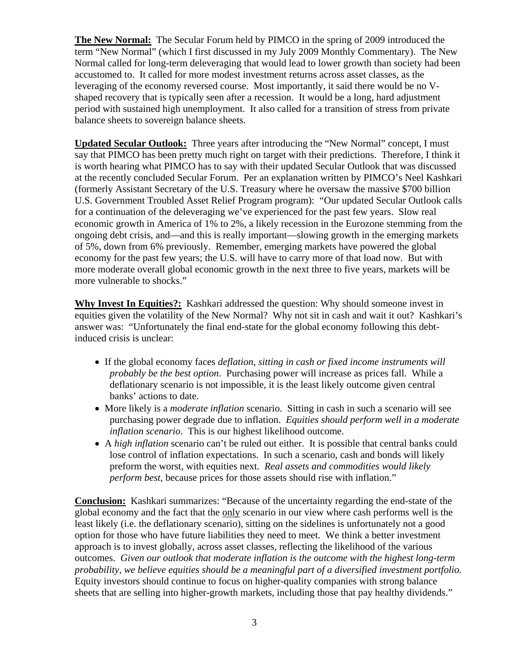**The New Normal:** The Secular Forum held by PIMCO in the spring of 2009 introduced the term "New Normal" (which I first discussed in my July 2009 Monthly Commentary). The New Normal called for long-term deleveraging that would lead to lower growth than society had been accustomed to. It called for more modest investment returns across asset classes, as the leveraging of the economy reversed course. Most importantly, it said there would be no Vshaped recovery that is typically seen after a recession. It would be a long, hard adjustment period with sustained high unemployment. It also called for a transition of stress from private balance sheets to sovereign balance sheets.

**Updated Secular Outlook:** Three years after introducing the "New Normal" concept, I must say that PIMCO has been pretty much right on target with their predictions. Therefore, I think it is worth hearing what PIMCO has to say with their updated Secular Outlook that was discussed at the recently concluded Secular Forum. Per an explanation written by PIMCO's Neel Kashkari (formerly Assistant Secretary of the U.S. Treasury where he oversaw the massive \$700 billion U.S. Government Troubled Asset Relief Program program): "Our updated Secular Outlook calls for a continuation of the deleveraging we've experienced for the past few years. Slow real economic growth in America of 1% to 2%, a likely recession in the Eurozone stemming from the ongoing debt crisis, and—and this is really important—slowing growth in the emerging markets of 5%, down from 6% previously. Remember, emerging markets have powered the global economy for the past few years; the U.S. will have to carry more of that load now. But with more moderate overall global economic growth in the next three to five years, markets will be more vulnerable to shocks."

**Why Invest In Equities?:** Kashkari addressed the question: Why should someone invest in equities given the volatility of the New Normal? Why not sit in cash and wait it out? Kashkari's answer was: "Unfortunately the final end-state for the global economy following this debtinduced crisis is unclear:

- If the global economy faces *deflation*, *sitting in cash or fixed income instruments will probably be the best option*. Purchasing power will increase as prices fall. While a deflationary scenario is not impossible, it is the least likely outcome given central banks' actions to date.
- More likely is a *moderate inflation* scenario. Sitting in cash in such a scenario will see purchasing power degrade due to inflation. *Equities should perform well in a moderate inflation scenario*. This is our highest likelihood outcome.
- A *high inflation* scenario can't be ruled out either. It is possible that central banks could lose control of inflation expectations. In such a scenario, cash and bonds will likely preform the worst, with equities next. *Real assets and commodities would likely perform best*, because prices for those assets should rise with inflation."

**Conclusion:** Kashkari summarizes: "Because of the uncertainty regarding the end-state of the global economy and the fact that the only scenario in our view where cash performs well is the least likely (i.e. the deflationary scenario), sitting on the sidelines is unfortunately not a good option for those who have future liabilities they need to meet. We think a better investment approach is to invest globally, across asset classes, reflecting the likelihood of the various outcomes. *Given our outlook that moderate inflation is the outcome with the highest long-term probability, we believe equities should be a meaningful part of a diversified investment portfolio.* Equity investors should continue to focus on higher-quality companies with strong balance sheets that are selling into higher-growth markets, including those that pay healthy dividends."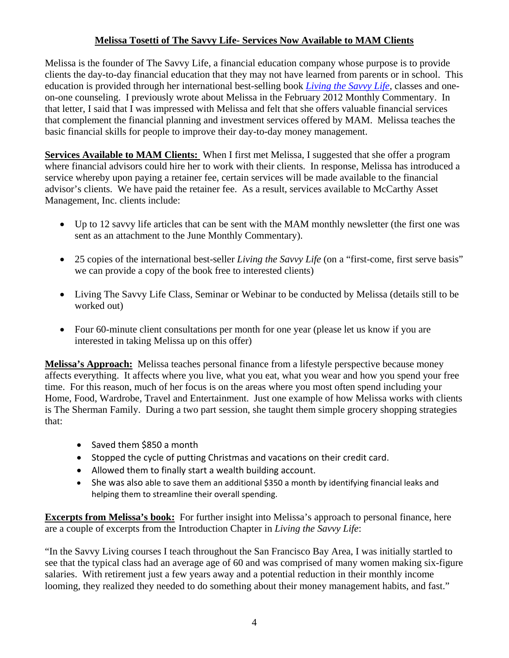### **Melissa Tosetti of The Savvy Life- Services Now Available to MAM Clients**

Melissa is the founder of The Savvy Life, a financial education company whose purpose is to provide clients the day-to-day financial education that they may not have learned from parents or in school. This education is provided through her international best-selling book *Living the Savvy Life*, classes and oneon-one counseling. I previously wrote about Melissa in the February 2012 Monthly Commentary. In that letter, I said that I was impressed with Melissa and felt that she offers valuable financial services that complement the financial planning and investment services offered by MAM. Melissa teaches the basic financial skills for people to improve their day-to-day money management.

**Services Available to MAM Clients:** When I first met Melissa, I suggested that she offer a program where financial advisors could hire her to work with their clients. In response, Melissa has introduced a service whereby upon paying a retainer fee, certain services will be made available to the financial advisor's clients. We have paid the retainer fee. As a result, services available to McCarthy Asset Management, Inc. clients include:

- Up to 12 savvy life articles that can be sent with the MAM monthly newsletter (the first one was sent as an attachment to the June Monthly Commentary).
- 25 copies of the international best-seller *Living the Savvy Life* (on a "first-come, first serve basis" we can provide a copy of the book free to interested clients)
- Living The Savvy Life Class, Seminar or Webinar to be conducted by Melissa (details still to be worked out)
- Four 60-minute client consultations per month for one year (please let us know if you are interested in taking Melissa up on this offer)

**Melissa's Approach:** Melissa teaches personal finance from a lifestyle perspective because money affects everything. It affects where you live, what you eat, what you wear and how you spend your free time. For this reason, much of her focus is on the areas where you most often spend including your Home, Food, Wardrobe, Travel and Entertainment. Just one example of how Melissa works with clients is The Sherman Family. During a two part session, she taught them simple grocery shopping strategies that:

- Saved them \$850 a month
- Stopped the cycle of putting Christmas and vacations on their credit card.
- Allowed them to finally start a wealth building account.
- She was also able to save them an additional \$350 a month by identifying financial leaks and helping them to streamline their overall spending.

**Excerpts from Melissa's book:** For further insight into Melissa's approach to personal finance, here are a couple of excerpts from the Introduction Chapter in *Living the Savvy Life*:

"In the Savvy Living courses I teach throughout the San Francisco Bay Area, I was initially startled to see that the typical class had an average age of 60 and was comprised of many women making six-figure salaries. With retirement just a few years away and a potential reduction in their monthly income looming, they realized they needed to do something about their money management habits, and fast."